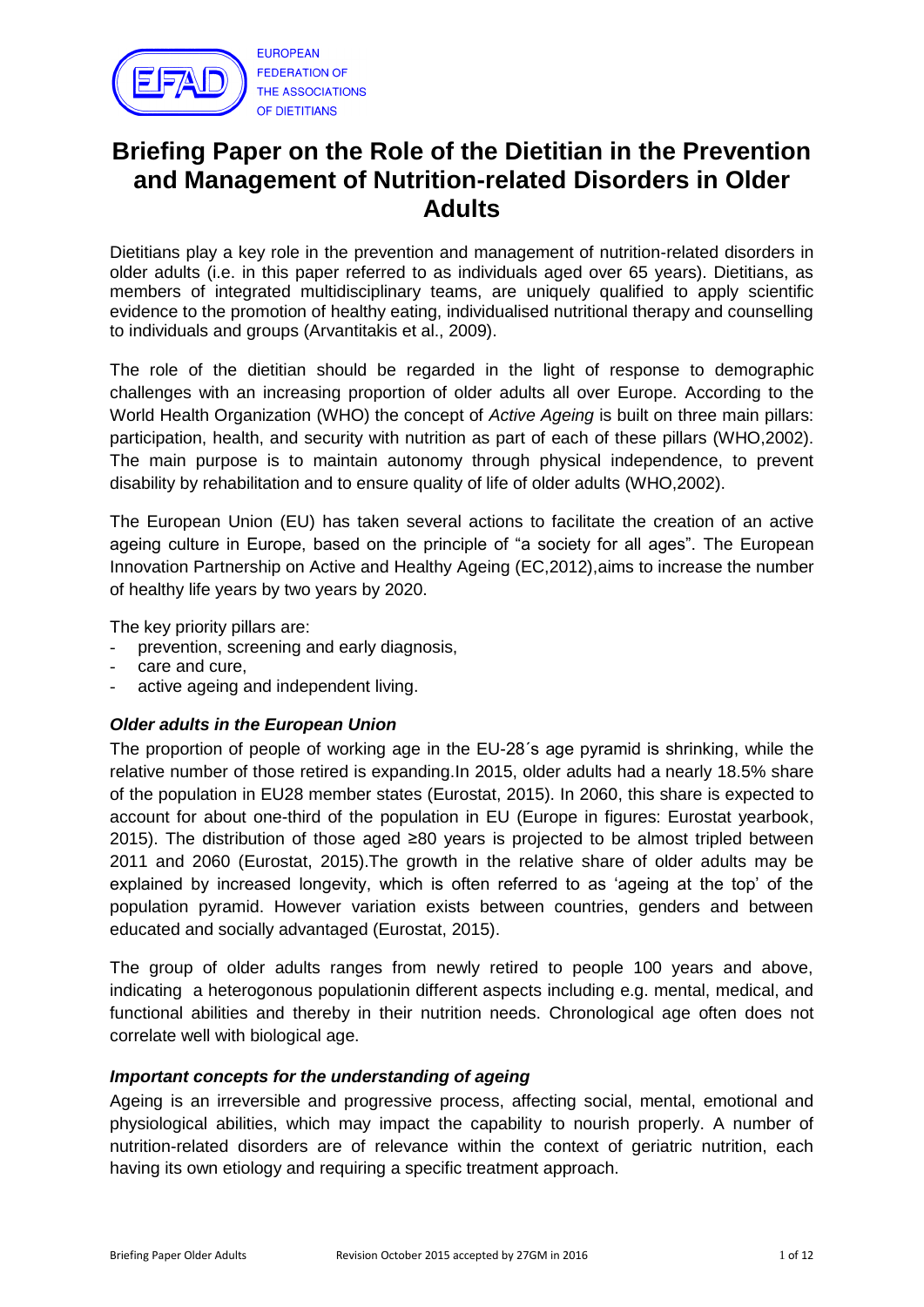

# **Briefing Paper on the Role of the Dietitian in the Prevention and Management of Nutrition-related Disorders in Older Adults**

Dietitians play a key role in the prevention and management of nutrition-related disorders in older adults (i.e. in this paper referred to as individuals aged over 65 years). Dietitians, as members of integrated multidisciplinary teams, are uniquely qualified to apply scientific evidence to the promotion of healthy eating, individualised nutritional therapy and counselling to individuals and groups (Arvantitakis et al., 2009).

The role of the dietitian should be regarded in the light of response to demographic challenges with an increasing proportion of older adults all over Europe. According to the World Health Organization (WHO) the concept of *Active Ageing* is built on three main pillars: participation, health, and security with nutrition as part of each of these pillars (WHO,2002). The main purpose is to maintain autonomy through physical independence, to prevent disability by rehabilitation and to ensure quality of life of older adults (WHO,2002).

The European Union (EU) has taken several actions to facilitate the creation of an active ageing culture in Europe, based on the principle of "a society for all ages". The European Innovation Partnership on Active and Healthy Ageing (EC,2012),aims to increase the number of healthy life years by two years by 2020.

The key priority pillars are:

- prevention, screening and early diagnosis,
- care and cure,
- active ageing and independent living.

#### *Older adults in the European Union*

The proportion of people of working age in the EU-28´s age pyramid is shrinking, while the relative number of those retired is expanding.In 2015, older adults had a nearly 18.5% share of the population in EU28 member states (Eurostat, 2015). In 2060, this share is expected to account for about one-third of the population in EU (Europe in figures: Eurostat yearbook, 2015). The distribution of those aged ≥80 years is projected to be almost tripled between 2011 and 2060 (Eurostat, 2015).The growth in the relative share of older adults may be explained by increased longevity, which is often referred to as "ageing at the top" of the population pyramid. However variation exists between countries, genders and between educated and socially advantaged (Eurostat, 2015).

The group of older adults ranges from newly retired to people 100 years and above, indicating a heterogonous populationin different aspects including e.g. mental, medical, and functional abilities and thereby in their nutrition needs. Chronological age often does not correlate well with biological age.

#### *Important concepts for the understanding of ageing*

Ageing is an irreversible and progressive process, affecting social, mental, emotional and physiological abilities, which may impact the capability to nourish properly. A number of nutrition-related disorders are of relevance within the context of geriatric nutrition, each having its own etiology and requiring a specific treatment approach.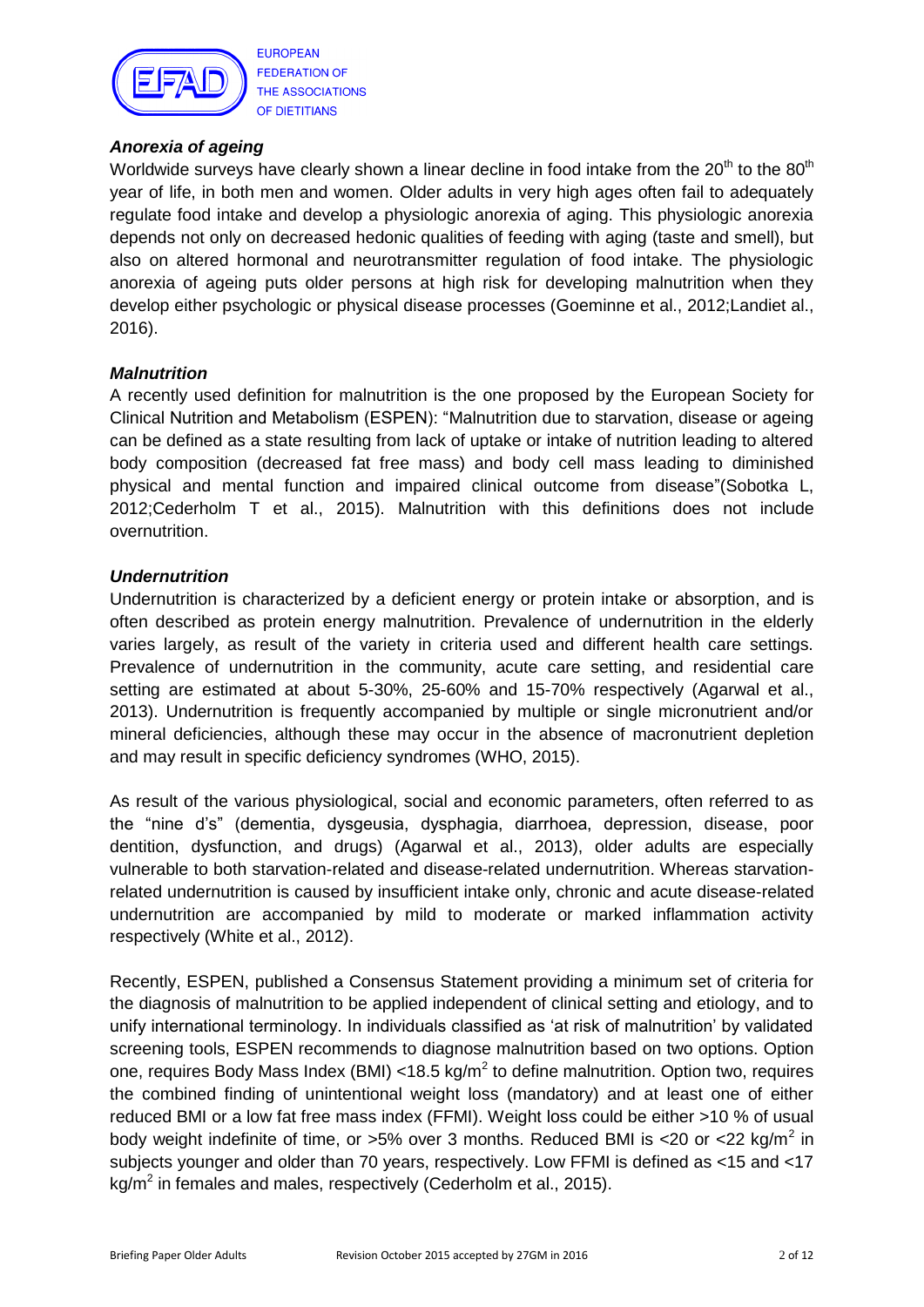

**EUROPEAN FEDERATION OF** THE ASSOCIATIONS OF DIETITIANS

## *Anorexia of ageing*

Worldwide surveys have clearly shown a linear decline in food intake from the  $20<sup>th</sup>$  to the  $80<sup>th</sup>$ year of life, in both men and women. Older adults in very high ages often fail to adequately regulate food intake and develop a physiologic anorexia of aging. This physiologic anorexia depends not only on decreased hedonic qualities of feeding with aging (taste and smell), but also on altered hormonal and neurotransmitter regulation of food intake. The physiologic anorexia of ageing puts older persons at high risk for developing malnutrition when they develop either psychologic or physical disease processes (Goeminne et al., 2012;Landiet al., 2016).

## *Malnutrition*

A recently used definition for malnutrition is the one proposed by the European Society for Clinical Nutrition and Metabolism (ESPEN): "Malnutrition due to starvation, disease or ageing can be defined as a state resulting from lack of uptake or intake of nutrition leading to altered body composition (decreased fat free mass) and body cell mass leading to diminished physical and mental function and impaired clinical outcome from disease"(Sobotka L, 2012;Cederholm T et al., 2015). Malnutrition with this definitions does not include overnutrition.

## *Undernutrition*

Undernutrition is characterized by a deficient energy or protein intake or absorption, and is often described as protein energy malnutrition. Prevalence of undernutrition in the elderly varies largely, as result of the variety in criteria used and different health care settings. Prevalence of undernutrition in the community, acute care setting, and residential care setting are estimated at about 5-30%, 25-60% and 15-70% respectively (Agarwal et al., 2013). Undernutrition is frequently accompanied by multiple or single micronutrient and/or mineral deficiencies, although these may occur in the absence of macronutrient depletion and may result in specific deficiency syndromes (WHO, 2015).

As result of the various physiological, social and economic parameters, often referred to as the "nine d"s" (dementia, dysgeusia, dysphagia, diarrhoea, depression, disease, poor dentition, dysfunction, and drugs) (Agarwal et al., 2013), older adults are especially vulnerable to both starvation-related and disease-related undernutrition. Whereas starvationrelated undernutrition is caused by insufficient intake only, chronic and acute disease-related undernutrition are accompanied by mild to moderate or marked inflammation activity respectively (White et al., 2012).

Recently, ESPEN, published a Consensus Statement providing a minimum set of criteria for the diagnosis of malnutrition to be applied independent of clinical setting and etiology, and to unify international terminology. In individuals classified as "at risk of malnutrition" by validated screening tools, ESPEN recommends to diagnose malnutrition based on two options. Option one, requires Body Mass Index (BMI) <18.5 kg/m<sup>2</sup> to define malnutrition. Option two, requires the combined finding of unintentional weight loss (mandatory) and at least one of either reduced BMI or a low fat free mass index (FFMI). Weight loss could be either >10 % of usual body weight indefinite of time, or >5% over 3 months. Reduced BMI is <20 or <22 kg/m<sup>2</sup> in subjects younger and older than 70 years, respectively. Low FFMI is defined as <15 and <17 kg/m<sup>2</sup> in females and males, respectively (Cederholm et al., 2015).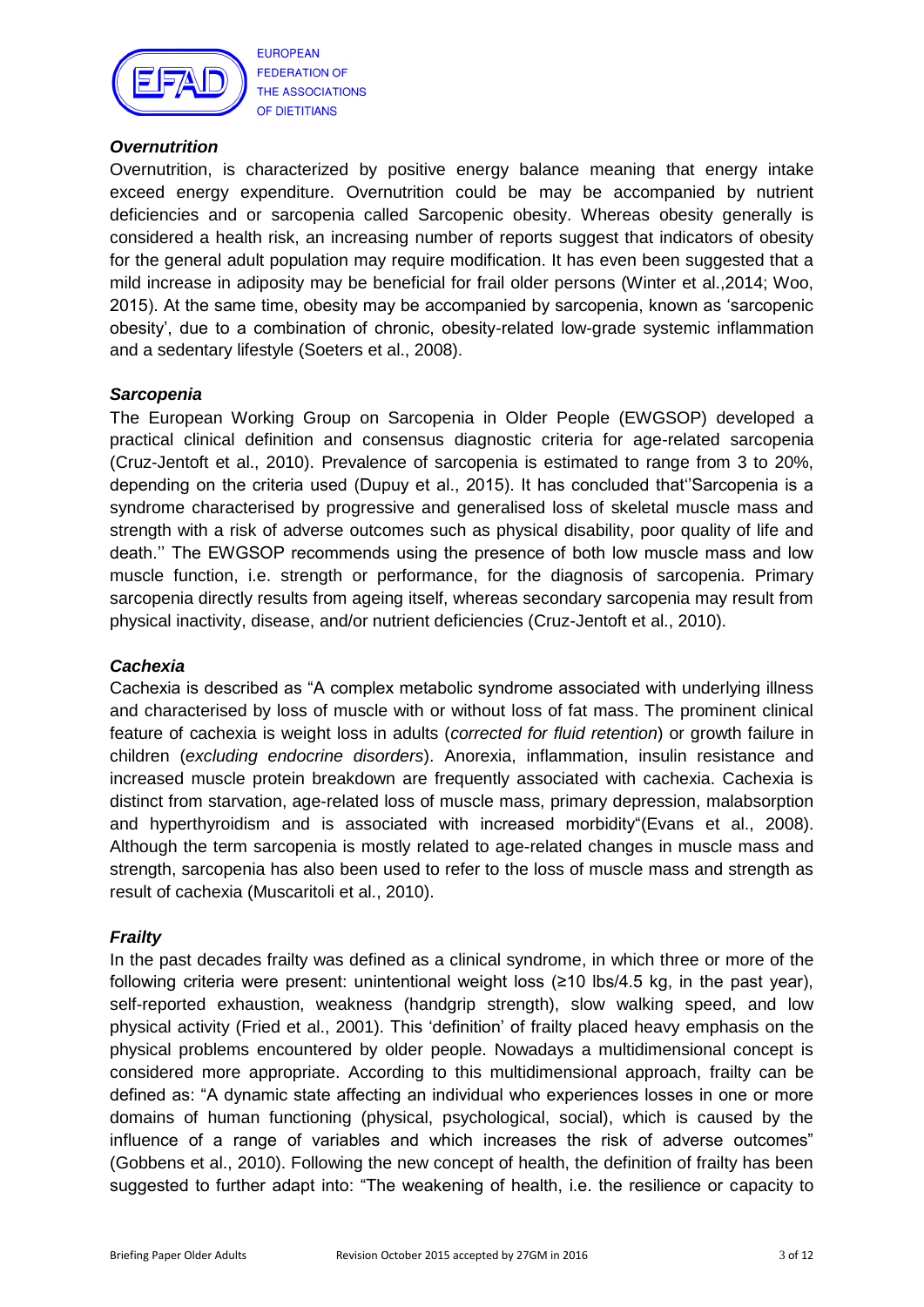

**EUROPEAN FEDERATION OF** THE ASSOCIATIONS OF DIETITIANS

### *Overnutrition*

Overnutrition, is characterized by positive energy balance meaning that energy intake exceed energy expenditure. Overnutrition could be may be accompanied by nutrient deficiencies and or sarcopenia called Sarcopenic obesity. Whereas obesity generally is considered a health risk, an increasing number of reports suggest that indicators of obesity for the general adult population may require modification. It has even been suggested that a mild increase in adiposity may be beneficial for frail older persons (Winter et al.,2014; Woo, 2015). At the same time, obesity may be accompanied by sarcopenia, known as "sarcopenic obesity", due to a combination of chronic, obesity-related low-grade systemic inflammation and a sedentary lifestyle (Soeters et al., 2008).

## *Sarcopenia*

The European Working Group on Sarcopenia in Older People (EWGSOP) developed a practical clinical definition and consensus diagnostic criteria for age-related sarcopenia (Cruz-Jentoft et al., 2010). Prevalence of sarcopenia is estimated to range from 3 to 20%, depending on the criteria used (Dupuy et al., 2015). It has concluded that""Sarcopenia is a syndrome characterised by progressive and generalised loss of skeletal muscle mass and strength with a risk of adverse outcomes such as physical disability, poor quality of life and death."" The EWGSOP recommends using the presence of both low muscle mass and low muscle function, i.e. strength or performance, for the diagnosis of sarcopenia. Primary sarcopenia directly results from ageing itself, whereas secondary sarcopenia may result from physical inactivity, disease, and/or nutrient deficiencies (Cruz-Jentoft et al., 2010).

## *Cachexia*

Cachexia is described as "A complex metabolic syndrome associated with underlying illness and characterised by loss of muscle with or without loss of fat mass. The prominent clinical feature of cachexia is weight loss in adults (*corrected for fluid retention*) or growth failure in children (*excluding endocrine disorders*). Anorexia, inflammation, insulin resistance and increased muscle protein breakdown are frequently associated with cachexia. Cachexia is distinct from starvation, age-related loss of muscle mass, primary depression, malabsorption and hyperthyroidism and is associated with increased morbidity"(Evans et al., 2008). Although the term sarcopenia is mostly related to age-related changes in muscle mass and strength, sarcopenia has also been used to refer to the loss of muscle mass and strength as result of cachexia (Muscaritoli et al., 2010).

#### *Frailty*

In the past decades frailty was defined as a clinical syndrome, in which three or more of the following criteria were present: unintentional weight loss (≥10 lbs/4.5 kg, in the past year), self-reported exhaustion, weakness (handgrip strength), slow walking speed, and low physical activity (Fried et al., 2001). This "definition" of frailty placed heavy emphasis on the physical problems encountered by older people. Nowadays a multidimensional concept is considered more appropriate. According to this multidimensional approach, frailty can be defined as: "A dynamic state affecting an individual who experiences losses in one or more domains of human functioning (physical, psychological, social), which is caused by the influence of a range of variables and which increases the risk of adverse outcomes" (Gobbens et al., 2010). Following the new concept of health, the definition of frailty has been suggested to further adapt into: "The weakening of health, i.e. the resilience or capacity to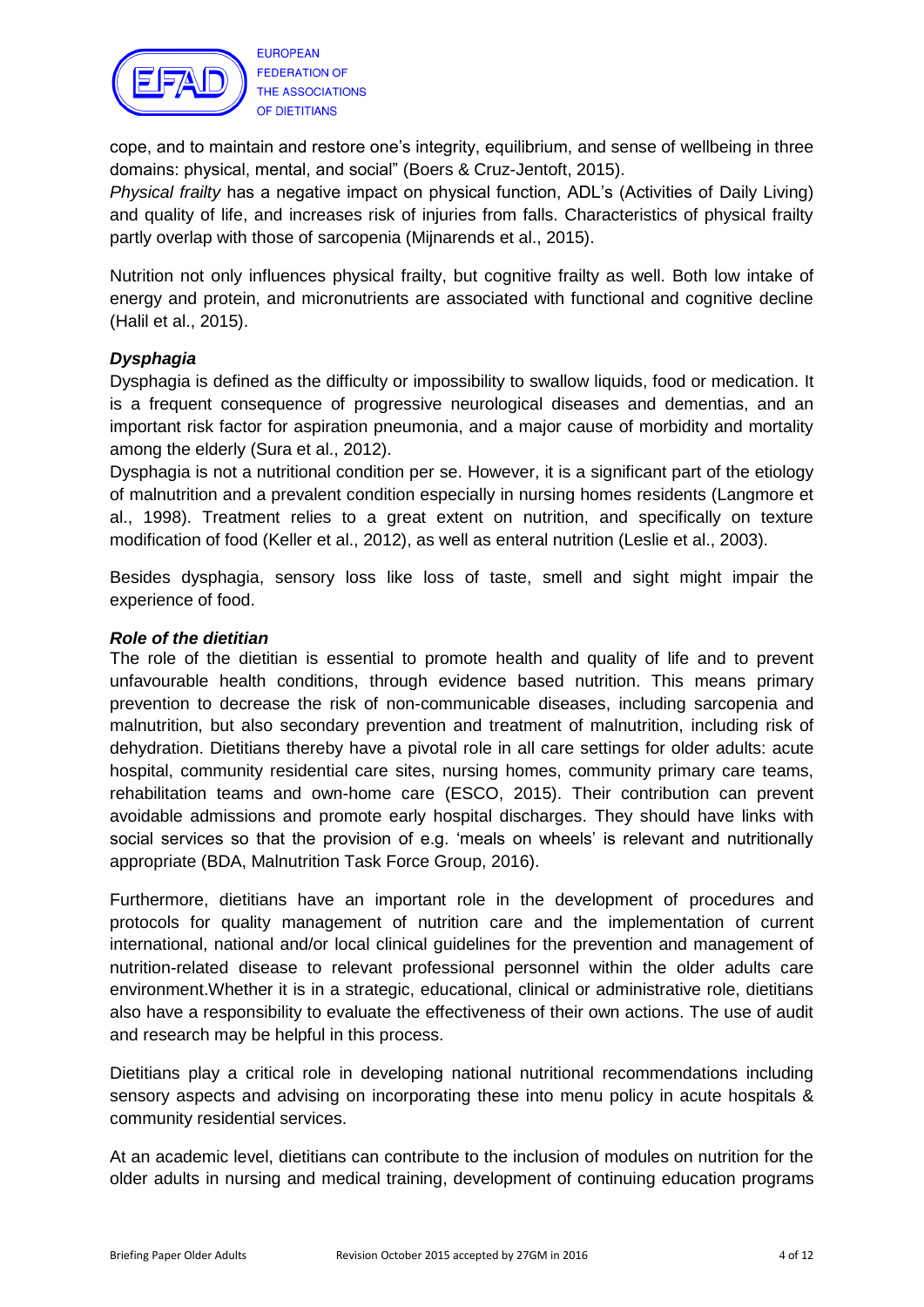

**FEDERATION OF** THE ASSOCIATIONS OF DIETITIANS

cope, and to maintain and restore one"s integrity, equilibrium, and sense of wellbeing in three domains: physical, mental, and social" (Boers & Cruz-Jentoft, 2015).

*Physical frailty* has a negative impact on physical function, ADL"s (Activities of Daily Living) and quality of life, and increases risk of injuries from falls. Characteristics of physical frailty partly overlap with those of sarcopenia (Mijnarends et al., 2015).

Nutrition not only influences physical frailty, but cognitive frailty as well. Both low intake of energy and protein, and micronutrients are associated with functional and cognitive decline (Halil et al., 2015).

## *Dysphagia*

Dysphagia is defined as the difficulty or impossibility to swallow liquids, food or medication. It is a frequent consequence of progressive neurological diseases and dementias, and an important risk factor for aspiration pneumonia, and a major cause of morbidity and mortality among the elderly (Sura et al., 2012).

Dysphagia is not a nutritional condition per se. However, it is a significant part of the etiology of malnutrition and a prevalent condition especially in nursing homes residents (Langmore et al., 1998). Treatment relies to a great extent on nutrition, and specifically on texture modification of food (Keller et al., 2012), as well as enteral nutrition (Leslie et al., 2003).

Besides dysphagia, sensory loss like loss of taste, smell and sight might impair the experience of food.

#### *Role of the dietitian*

The role of the dietitian is essential to promote health and quality of life and to prevent unfavourable health conditions, through evidence based nutrition. This means primary prevention to decrease the risk of non-communicable diseases, including sarcopenia and malnutrition, but also secondary prevention and treatment of malnutrition, including risk of dehydration. Dietitians thereby have a pivotal role in all care settings for older adults: acute hospital, community residential care sites, nursing homes, community primary care teams, rehabilitation teams and own-home care (ESCO, 2015). Their contribution can prevent avoidable admissions and promote early hospital discharges. They should have links with social services so that the provision of e.g. 'meals on wheels' is relevant and nutritionally appropriate (BDA, Malnutrition Task Force Group, 2016).

Furthermore, dietitians have an important role in the development of procedures and protocols for quality management of nutrition care and the implementation of current international, national and/or local clinical guidelines for the prevention and management of nutrition-related disease to relevant professional personnel within the older adults care environment.Whether it is in a strategic, educational, clinical or administrative role, dietitians also have a responsibility to evaluate the effectiveness of their own actions. The use of audit and research may be helpful in this process.

Dietitians play a critical role in developing national nutritional recommendations including sensory aspects and advising on incorporating these into menu policy in acute hospitals & community residential services.

At an academic level, dietitians can contribute to the inclusion of modules on nutrition for the older adults in nursing and medical training, development of continuing education programs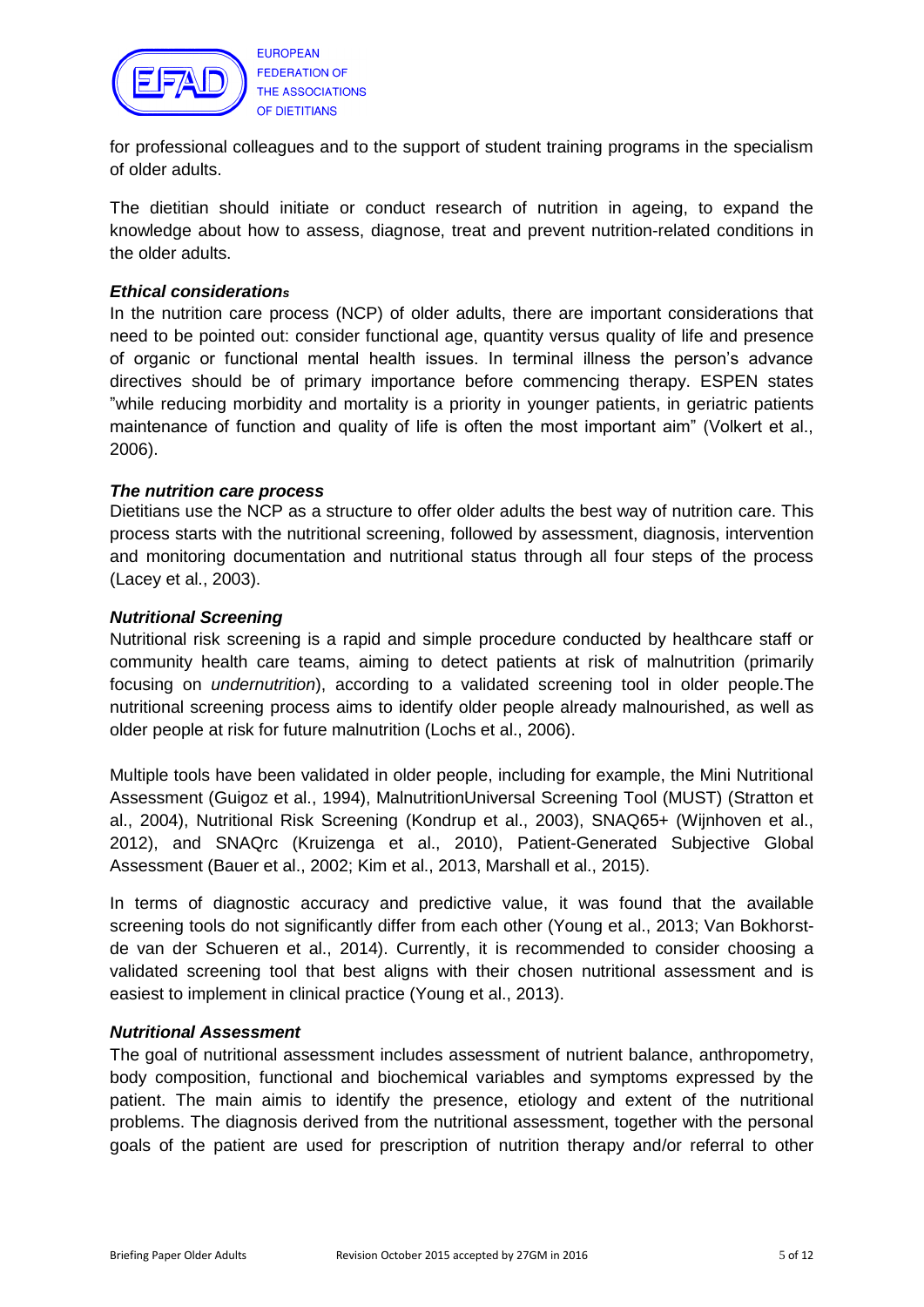

for professional colleagues and to the support of student training programs in the specialism of older adults.

The dietitian should initiate or conduct research of nutrition in ageing, to expand the knowledge about how to assess, diagnose, treat and prevent nutrition-related conditions in the older adults.

#### *Ethical considerations*

In the nutrition care process (NCP) of older adults, there are important considerations that need to be pointed out: consider functional age, quantity versus quality of life and presence of organic or functional mental health issues. In terminal illness the person"s advance directives should be of primary importance before commencing therapy. ESPEN states "while reducing morbidity and mortality is a priority in younger patients, in geriatric patients maintenance of function and quality of life is often the most important aim" (Volkert et al., 2006).

#### *The nutrition care process*

Dietitians use the NCP as a structure to offer older adults the best way of nutrition care. This process starts with the nutritional screening, followed by assessment, diagnosis, intervention and monitoring documentation and nutritional status through all four steps of the process (Lacey et al., 2003).

#### *Nutritional Screening*

Nutritional risk screening is a rapid and simple procedure conducted by healthcare staff or community health care teams, aiming to detect patients at risk of malnutrition (primarily focusing on *undernutrition*), according to a validated screening tool in older people.The nutritional screening process aims to identify older people already malnourished, as well as older people at risk for future malnutrition (Lochs et al., 2006).

Multiple tools have been validated in older people, including for example, the Mini Nutritional Assessment (Guigoz et al., 1994), MalnutritionUniversal Screening Tool (MUST) (Stratton et al., 2004), Nutritional Risk Screening (Kondrup et al., 2003), SNAQ65+ (Wijnhoven et al., 2012), and SNAQrc (Kruizenga et al., 2010), Patient-Generated Subjective Global Assessment (Bauer et al., 2002; Kim et al., 2013, Marshall et al., 2015).

In terms of diagnostic accuracy and predictive value, it was found that the available screening tools do not significantly differ from each other (Young et al., 2013; Van Bokhorstde van der Schueren et al., 2014). Currently, it is recommended to consider choosing a validated screening tool that best aligns with their chosen nutritional assessment and is easiest to implement in clinical practice (Young et al., 2013).

#### *Nutritional Assessment*

The goal of nutritional assessment includes assessment of nutrient balance, anthropometry, body composition, functional and biochemical variables and symptoms expressed by the patient. The main aimis to identify the presence, etiology and extent of the nutritional problems. The diagnosis derived from the nutritional assessment, together with the personal goals of the patient are used for prescription of nutrition therapy and/or referral to other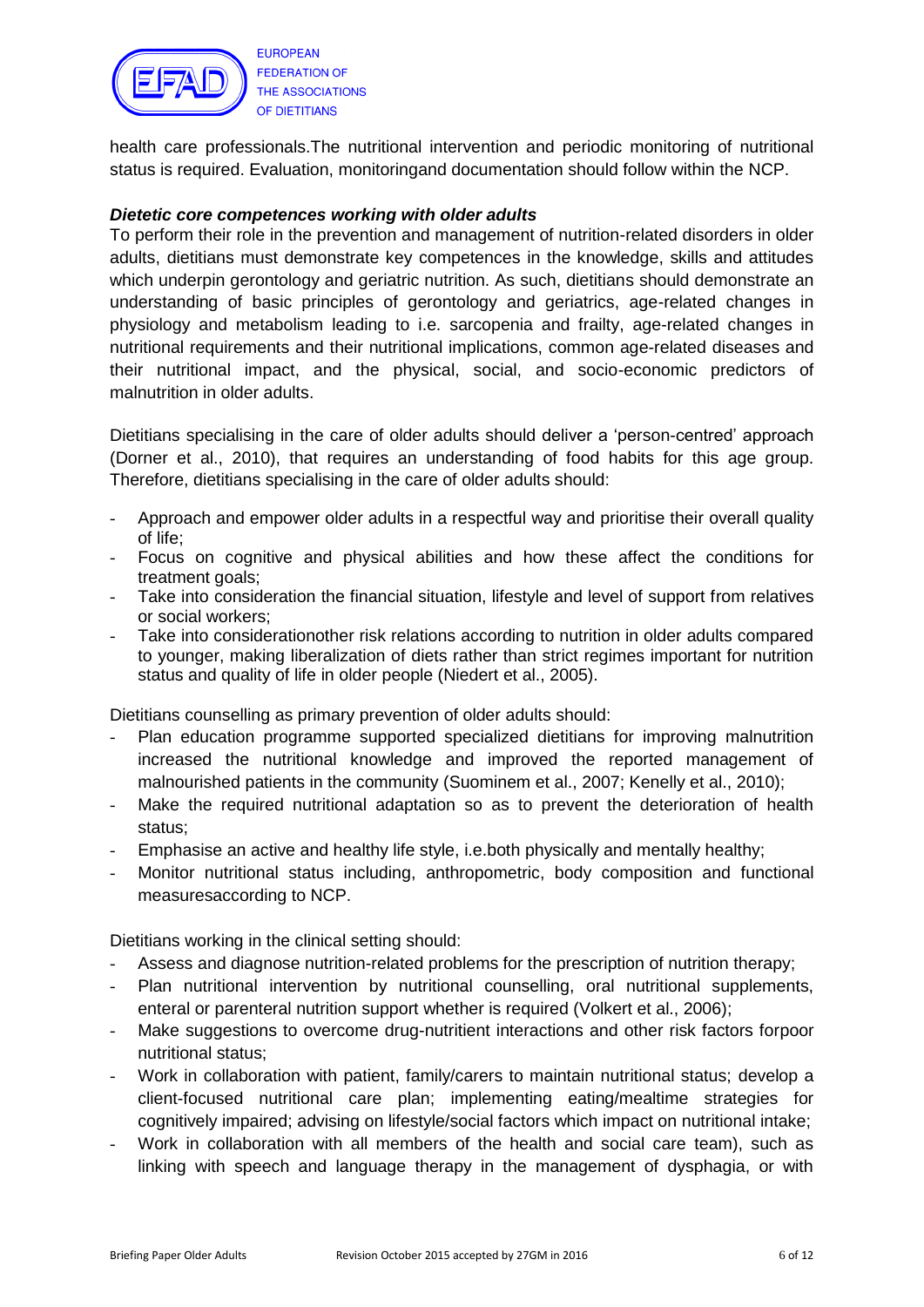

health care professionals.The nutritional intervention and periodic monitoring of nutritional status is required. Evaluation, monitoringand documentation should follow within the NCP.

#### *Dietetic core competences working with older adults*

To perform their role in the prevention and management of nutrition-related disorders in older adults, dietitians must demonstrate key competences in the knowledge, skills and attitudes which underpin gerontology and geriatric nutrition. As such, dietitians should demonstrate an understanding of basic principles of gerontology and geriatrics, age-related changes in physiology and metabolism leading to i.e. sarcopenia and frailty, age-related changes in nutritional requirements and their nutritional implications, common age-related diseases and their nutritional impact, and the physical, social, and socio-economic predictors of malnutrition in older adults.

Dietitians specialising in the care of older adults should deliver a "person-centred" approach (Dorner et al., 2010), that requires an understanding of food habits for this age group. Therefore, dietitians specialising in the care of older adults should:

- Approach and empower older adults in a respectful way and prioritise their overall quality of life;
- Focus on cognitive and physical abilities and how these affect the conditions for treatment goals;
- Take into consideration the financial situation, lifestyle and level of support from relatives or social workers;
- Take into considerationother risk relations according to nutrition in older adults compared to younger, making liberalization of diets rather than strict regimes important for nutrition status and quality of life in older people (Niedert et al., 2005).

Dietitians counselling as primary prevention of older adults should:

- Plan education programme supported specialized dietitians for improving malnutrition increased the nutritional knowledge and improved the reported management of malnourished patients in the community (Suominem et al., 2007; Kenelly et al., 2010);
- Make the required nutritional adaptation so as to prevent the deterioration of health status;
- Emphasise an active and healthy life style, i.e.both physically and mentally healthy;
- Monitor nutritional status including, anthropometric, body composition and functional measuresaccording to NCP.

Dietitians working in the clinical setting should:

- Assess and diagnose nutrition-related problems for the prescription of nutrition therapy;
- Plan nutritional intervention by nutritional counselling, oral nutritional supplements, enteral or parenteral nutrition support whether is required (Volkert et al., 2006);
- Make suggestions to overcome drug-nutritient interactions and other risk factors forpoor nutritional status;
- Work in collaboration with patient, family/carers to maintain nutritional status; develop a client-focused nutritional care plan; implementing eating/mealtime strategies for cognitively impaired; advising on lifestyle/social factors which impact on nutritional intake;
- Work in collaboration with all members of the health and social care team), such as linking with speech and language therapy in the management of dysphagia, or with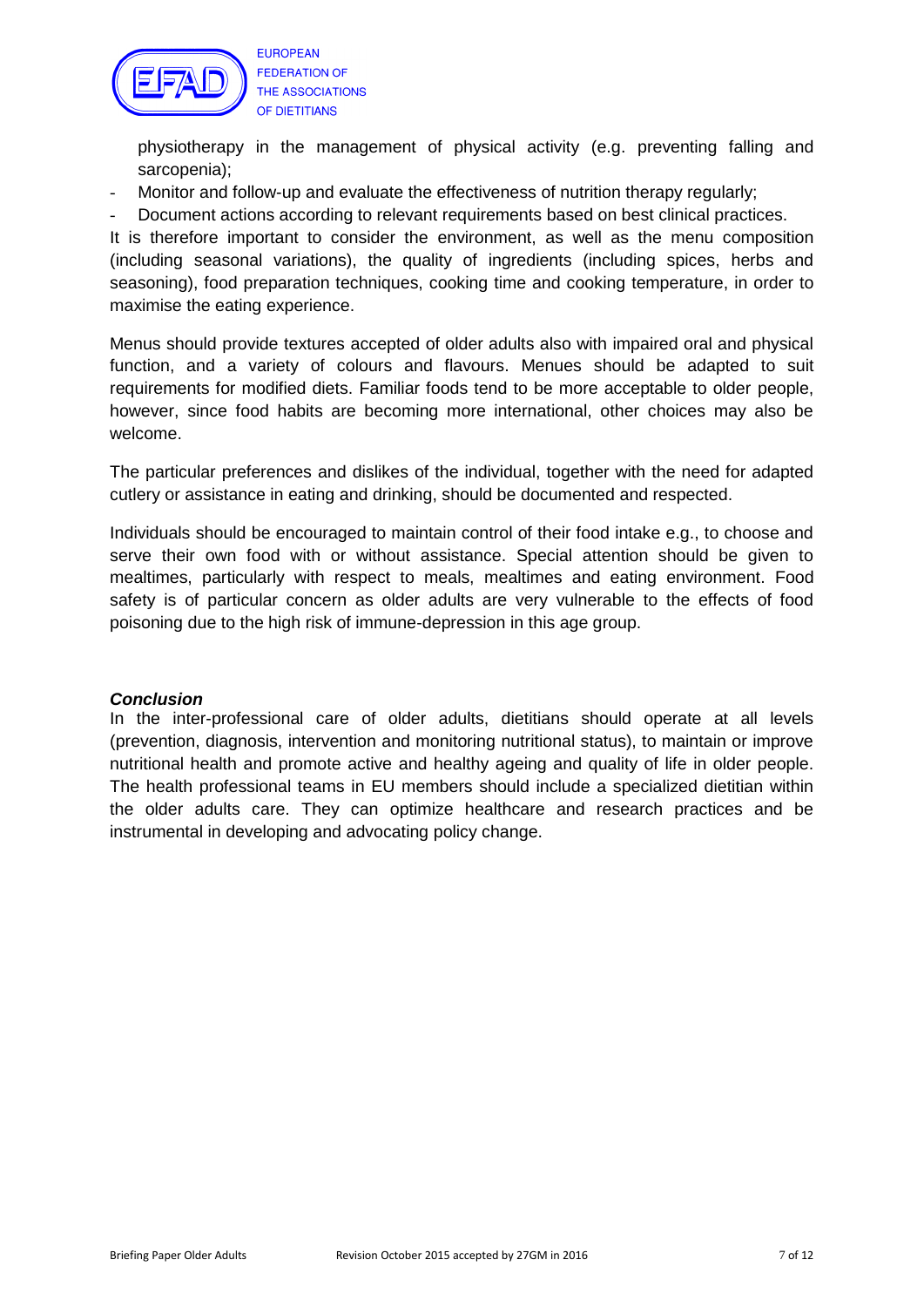

**EUROPEAN FEDERATION OF** THE ASSOCIATIONS OF DIETITIANS

physiotherapy in the management of physical activity (e.g. preventing falling and sarcopenia);

- Monitor and follow-up and evaluate the effectiveness of nutrition therapy regularly;
- Document actions according to relevant requirements based on best clinical practices.

It is therefore important to consider the environment, as well as the menu composition (including seasonal variations), the quality of ingredients (including spices, herbs and seasoning), food preparation techniques, cooking time and cooking temperature, in order to maximise the eating experience.

Menus should provide textures accepted of older adults also with impaired oral and physical function, and a variety of colours and flavours. Menues should be adapted to suit requirements for modified diets. Familiar foods tend to be more acceptable to older people, however, since food habits are becoming more international, other choices may also be welcome.

The particular preferences and dislikes of the individual, together with the need for adapted cutlery or assistance in eating and drinking, should be documented and respected.

Individuals should be encouraged to maintain control of their food intake e.g., to choose and serve their own food with or without assistance. Special attention should be given to mealtimes, particularly with respect to meals, mealtimes and eating environment. Food safety is of particular concern as older adults are very vulnerable to the effects of food poisoning due to the high risk of immune-depression in this age group.

#### *Conclusion*

In the inter-professional care of older adults, dietitians should operate at all levels (prevention, diagnosis, intervention and monitoring nutritional status), to maintain or improve nutritional health and promote active and healthy ageing and quality of life in older people. The health professional teams in EU members should include a specialized dietitian within the older adults care. They can optimize healthcare and research practices and be instrumental in developing and advocating policy change.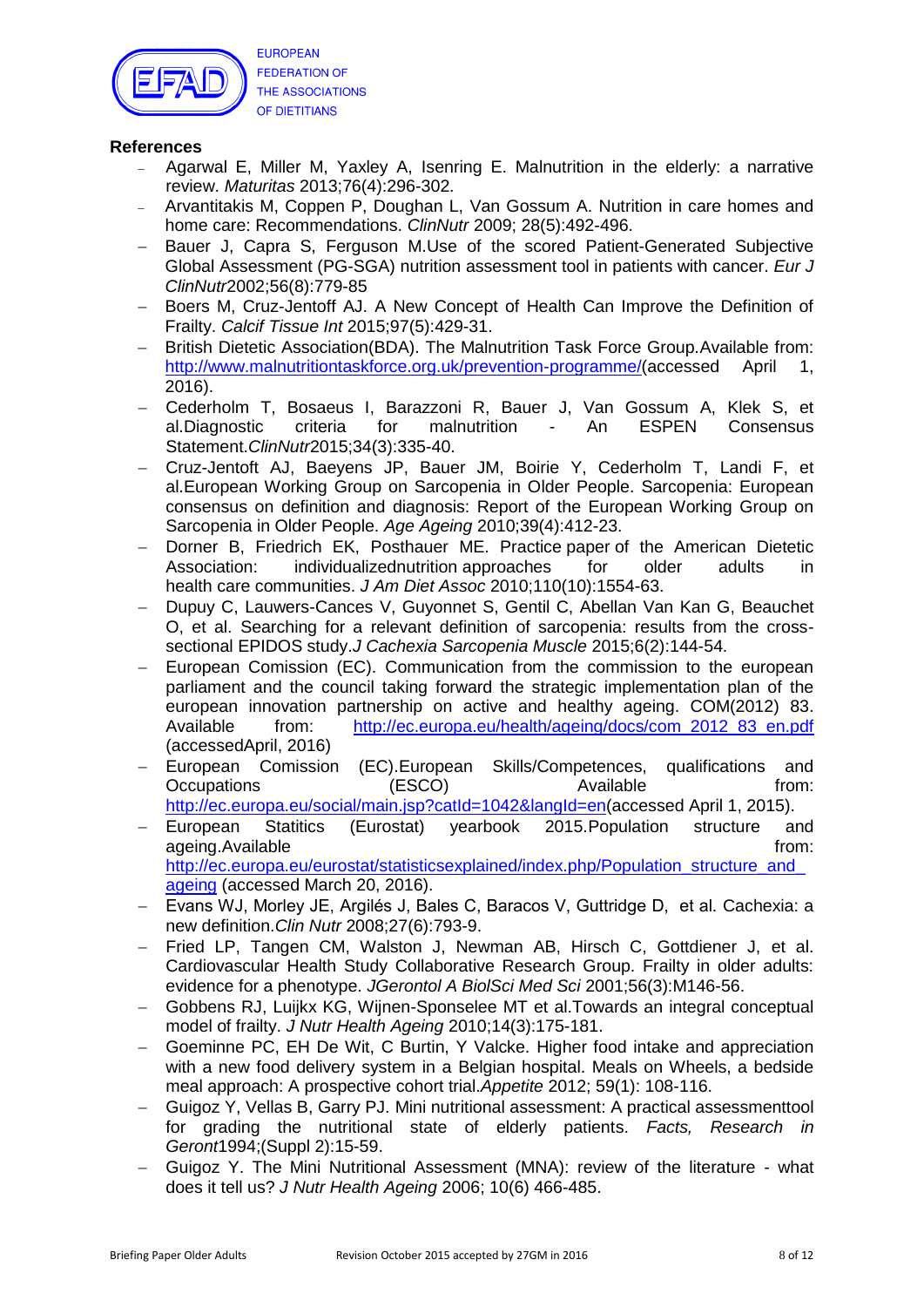

#### **References**

- Agarwal E, Miller M, Yaxley A, Isenring E. Malnutrition in the elderly: a narrative review. *Maturitas* 2013;76(4):296-302.
- Arvantitakis M, Coppen P, Doughan L, Van Gossum A. Nutrition in care homes and home care: Recommendations. *ClinNutr* 2009; 28(5):492-496.
- Bauer J, Capra S, Ferguson M.Use of the scored Patient-Generated Subjective Global Assessment (PG-SGA) nutrition assessment tool in patients with cancer. *Eur J ClinNutr*2002;56(8):779-85
- Boers M, Cruz-Jentoff AJ. A New Concept of Health Can Improve the Definition of Frailty. *Calcif Tissue Int* 2015;97(5):429-31.
- British Dietetic Association(BDA). The Malnutrition Task Force Group.Available from: [http://www.malnutritiontaskforce.org.uk/prevention-programme/\(](http://www.malnutritiontaskforce.org.uk/prevention-programme/)accessed April 1, 2016).
- Cederholm T, Bosaeus I, Barazzoni R, Bauer J, Van Gossum A, Klek S, et al.Diagnostic criteria for malnutrition - An ESPEN Consensus Statement.*ClinNutr*2015;34(3):335-40.
- Cruz-Jentoft AJ, Baeyens JP, Bauer JM, Boirie Y, Cederholm T, Landi F, et al.European Working Group on Sarcopenia in Older People. Sarcopenia: European consensus on definition and diagnosis: Report of the European Working Group on Sarcopenia in Older People. *Age Ageing* 2010;39(4):412-23.
- Dorner B, Friedrich EK, Posthauer ME. Practice paper of the American Dietetic Association: individualizednutrition approaches for older adults in health care communities. *J Am Diet Assoc* 2010;110(10):1554-63.
- Dupuy C, Lauwers-Cances V, Guyonnet S, Gentil C, Abellan Van Kan G, Beauchet O, et al. Searching for a relevant definition of sarcopenia: results from the crosssectional EPIDOS study.*J Cachexia Sarcopenia Muscle* 2015;6(2):144-54.
- European Comission (EC). Communication from the commission to the european parliament and the council taking forward the strategic implementation plan of the european innovation partnership on active and healthy ageing. COM(2012) 83. Available from: http://ec.europa.eu/health/ageing/docs/com 2012 83 en.pdf (accessedApril, 2016)
- European Comission (EC).European Skills/Competences, qualifications and Occupations (ESCO) Available from: [http://ec.europa.eu/social/main.jsp?catId=1042&langId=en\(](http://ec.europa.eu/social/main.jsp?catId=1042&langId=en)accessed April 1, 2015).
- European Statitics (Eurostat) yearbook 2015.Population structure and ageing.Available from: the from: the from: the from: the from: the from: the from: the from: the from: the from: the from: the from: the from: the from: the from: the from: the from: the from: the from: the from: the from: http://ec.europa.eu/eurostat/statisticsexplained/index.php/Population\_structure\_and [ageing](http://ec.europa.eu/eurostat/statisticsexplained/index.php/Population_structure_and_ageing) (accessed March 20, 2016).
- Evans WJ, Morley JE, Argilés J, Bales C, Baracos V, Guttridge D, et al. Cachexia: a new definition.*Clin Nutr* 2008;27(6):793-9.
- Fried LP, Tangen CM, Walston J, Newman AB, Hirsch C, Gottdiener J, et al. Cardiovascular Health Study Collaborative Research Group. Frailty in older adults: evidence for a phenotype. *JGerontol A BiolSci Med Sci* 2001;56(3):M146-56.
- Gobbens RJ, Luijkx KG, Wijnen-Sponselee MT et al.Towards an integral conceptual model of frailty. *J Nutr Health Ageing* 2010;14(3):175-181.
- Goeminne PC, EH De Wit, C Burtin, Y Valcke. Higher food intake and appreciation with a new food delivery system in a Belgian hospital. Meals on Wheels, a bedside meal approach: A prospective cohort trial.*Appetite* 2012; 59(1): 108-116.
- Guigoz Y, Vellas B, Garry PJ. Mini nutritional assessment: A practical assessmenttool for grading the nutritional state of elderly patients. *Facts, Research in Geront*1994;(Suppl 2):15-59.
- Guigoz Y. The Mini Nutritional Assessment (MNA): review of the literature what does it tell us? *J Nutr Health Ageing* 2006; 10(6) 466-485.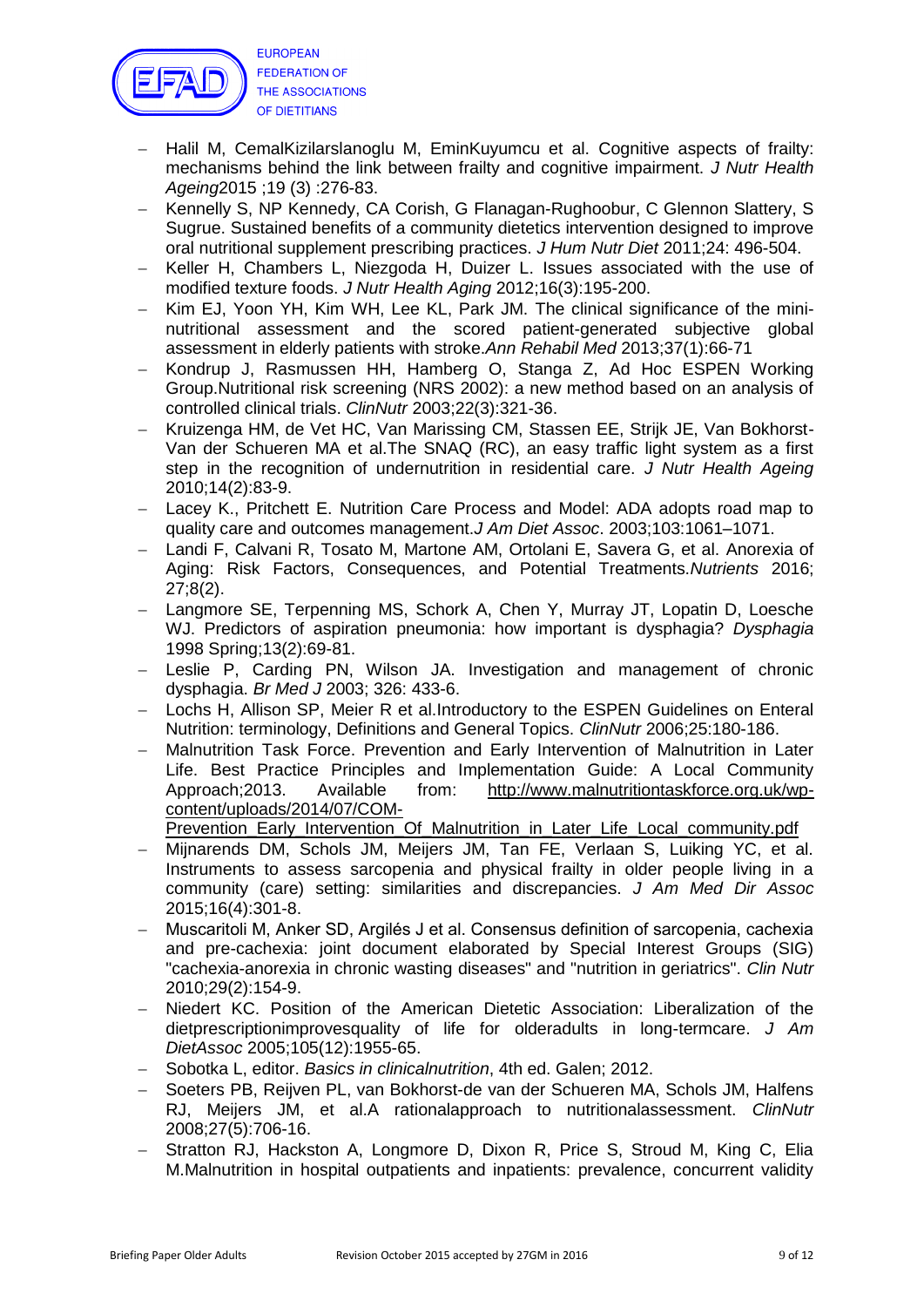

- Halil M, CemalKizilarslanoglu M, EminKuyumcu et al. Cognitive aspects of frailty: mechanisms behind the link between frailty and cognitive impairment. *J Nutr Health Ageing*2015 ;19 (3) :276-83.
- Kennelly S, NP Kennedy, CA Corish, G Flanagan-Rughoobur, C Glennon Slattery, S Sugrue. Sustained benefits of a community dietetics intervention designed to improve oral nutritional supplement prescribing practices. *J Hum Nutr Diet* 2011;24: 496-504.
- Keller H, Chambers L, Niezgoda H, Duizer L. Issues associated with the use of modified texture foods. *J Nutr Health Aging* 2012;16(3):195-200.
- Kim EJ, Yoon YH, Kim WH, Lee KL, Park JM, The clinical significance of the mininutritional assessment and the scored patient-generated subjective global assessment in elderly patients with stroke.*Ann Rehabil Med* 2013;37(1):66-71
- Kondrup J, Rasmussen HH, Hamberg O, Stanga Z, Ad Hoc ESPEN Working Group.Nutritional risk screening (NRS 2002): a new method based on an analysis of controlled clinical trials. *ClinNutr* 2003;22(3):321-36.
- Kruizenga HM, de Vet HC, Van Marissing CM, Stassen EE, Strijk JE, Van Bokhorst-Van der Schueren MA et al.The SNAQ (RC), an easy traffic light system as a first step in the recognition of undernutrition in residential care. *J Nutr Health Ageing* 2010;14(2):83-9.
- Lacey K., Pritchett E. Nutrition Care Process and Model: ADA adopts road map to quality care and outcomes management.*J Am Diet Assoc*. 2003;103:1061–1071.
- Landi F, Calvani R, Tosato M, Martone AM, Ortolani E, Savera G, et al. Anorexia of Aging: Risk Factors, Consequences, and Potential Treatments.*Nutrients* 2016; 27;8(2).
- Langmore SE, Terpenning MS, Schork A, Chen Y, Murray JT, Lopatin D, Loesche WJ. Predictors of aspiration pneumonia: how important is dysphagia? *Dysphagia* 1998 Spring;13(2):69-81.
- Leslie P, Carding PN, Wilson JA. Investigation and management of chronic dysphagia. *Br Med J* 2003; 326: 433-6.
- Lochs H, Allison SP, Meier R et al.Introductory to the ESPEN Guidelines on Enteral Nutrition: terminology, Definitions and General Topics. *ClinNutr* 2006;25:180-186.
- Malnutrition Task Force. Prevention and Early Intervention of Malnutrition in Later Life. Best Practice Principles and Implementation Guide: A Local Community Approach;2013. Available from: [http://www.malnutritiontaskforce.org.uk/wp](http://www.malnutritiontaskforce.org.uk/wp-content/uploads/2014/07/COM-Prevention_Early_Intervention_Of_Malnutrition_in_Later_Life_Local_community.pdf)[content/uploads/2014/07/COM-](http://www.malnutritiontaskforce.org.uk/wp-content/uploads/2014/07/COM-Prevention_Early_Intervention_Of_Malnutrition_in_Later_Life_Local_community.pdf)
	- [Prevention\\_Early\\_Intervention\\_Of\\_Malnutrition\\_in\\_Later\\_Life\\_Local\\_community.pdf](http://www.malnutritiontaskforce.org.uk/wp-content/uploads/2014/07/COM-Prevention_Early_Intervention_Of_Malnutrition_in_Later_Life_Local_community.pdf)
- Mijnarends DM, Schols JM, Meijers JM, Tan FE, Verlaan S, Luiking YC, et al. Instruments to assess sarcopenia and physical frailty in older people living in a community (care) setting: similarities and discrepancies. *J Am Med Dir Assoc* 2015;16(4):301-8.
- Muscaritoli M, Anker SD, Argilés J et al. Consensus definition of sarcopenia, cachexia and pre-cachexia: joint document elaborated by Special Interest Groups (SIG) "cachexia-anorexia in chronic wasting diseases" and "nutrition in geriatrics". *Clin Nutr* 2010;29(2):154-9.
- Niedert KC. Position of the American Dietetic Association: Liberalization of the dietprescriptionimprovesquality of life for olderadults in long-termcare. *J Am DietAssoc* 2005;105(12):1955-65.
- Sobotka L, editor. *Basics in clinicalnutrition*, 4th ed. Galen; 2012.
- Soeters PB, Reijven PL, van Bokhorst-de van der Schueren MA, Schols JM, Halfens RJ, Meijers JM, et al.A rationalapproach to nutritionalassessment. *ClinNutr* 2008;27(5):706-16.
- Stratton RJ, Hackston A, Longmore D, Dixon R, Price S, Stroud M, King C, Elia M.Malnutrition in hospital outpatients and inpatients: prevalence, concurrent validity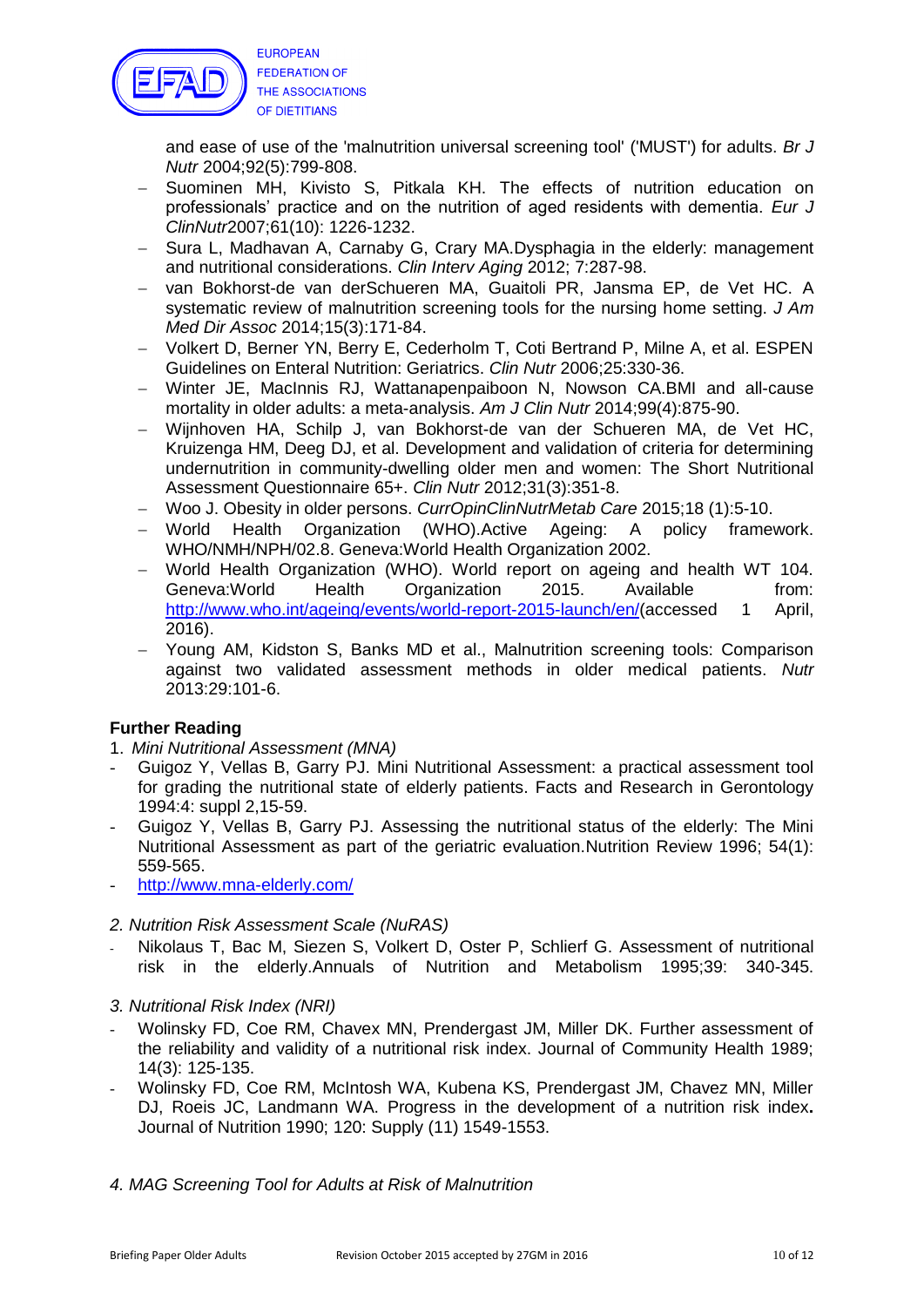

and ease of use of the 'malnutrition universal screening tool' ('MUST') for adults. *Br J Nutr* 2004;92(5):799-808.

- Suominen MH, Kivisto S, Pitkala KH. The effects of nutrition education on professionals" practice and on the nutrition of aged residents with dementia. *Eur J ClinNutr*2007;61(10): 1226-1232.
- Sura L, Madhavan A, Carnaby G, Crary MA.Dysphagia in the elderly: management and nutritional considerations. *Clin Interv Aging* 2012; 7:287-98.
- van Bokhorst-de van derSchueren MA, Guaitoli PR, Jansma EP, de Vet HC. A systematic review of malnutrition screening tools for the nursing home setting. *J Am Med Dir Assoc* 2014;15(3):171-84.
- Volkert D, Berner YN, Berry E, Cederholm T, Coti Bertrand P, Milne A, et al. ESPEN Guidelines on Enteral Nutrition: Geriatrics. *Clin Nutr* 2006;25:330-36.
- Winter JE, MacInnis RJ, Wattanapenpaiboon N, Nowson CA.BMI and all-cause mortality in older adults: a meta-analysis. *Am J Clin Nutr* 2014;99(4):875-90.
- Wijnhoven HA, Schilp J, van Bokhorst-de van der Schueren MA, de Vet HC, Kruizenga HM, Deeg DJ, et al. Development and validation of criteria for determining undernutrition in community-dwelling older men and women: The Short Nutritional Assessment Questionnaire 65+. *Clin Nutr* 2012;31(3):351-8.
- Woo J. Obesity in older persons. *CurrOpinClinNutrMetab Care* 2015;18 (1):5-10.
- World Health Organization (WHO).Active Ageing: A policy framework. WHO/NMH/NPH/02.8. Geneva:World Health Organization 2002.
- World Health Organization (WHO). World report on ageing and health WT 104. Geneva: World Health Organization 2015. Available from: [http://www.who.int/ageing/events/world-report-2015-launch/en/\(](http://www.who.int/ageing/events/world-report-2015-launch/en/)accessed 1 April, 2016).
- Young AM, Kidston S, Banks MD et al., Malnutrition screening tools: Comparison against two validated assessment methods in older medical patients. *Nutr* 2013:29:101-6.

## **Further Reading**

- 1. *Mini Nutritional Assessment (MNA)*
- Guigoz Y, Vellas B, Garry PJ. Mini Nutritional Assessment: a practical assessment tool for grading the nutritional state of elderly patients. Facts and Research in Gerontology 1994:4: suppl 2,15-59.
- Guigoz Y, Vellas B, Garry PJ. Assessing the nutritional status of the elderly: The Mini Nutritional Assessment as part of the geriatric evaluation.Nutrition Review 1996; 54(1): 559-565.
- <http://www.mna-elderly.com/>
- *2. Nutrition Risk Assessment Scale (NuRAS)*
- Nikolaus T, Bac M, Siezen S, Volkert D, Oster P, Schlierf G. Assessment of nutritional risk in the elderly.Annuals of Nutrition and Metabolism 1995;39: 340-345.
- *3. Nutritional Risk Index (NRI)*
- Wolinsky FD, Coe RM, Chavex MN, Prendergast JM, Miller DK. Further assessment of the reliability and validity of a nutritional risk index. Journal of Community Health 1989; 14(3): 125-135.
- Wolinsky FD, Coe RM, McIntosh WA, Kubena KS, Prendergast JM, Chavez MN, Miller DJ, Roeis JC, Landmann WA. Progress in the development of a nutrition risk index**.**  Journal of Nutrition 1990; 120: Supply (11) 1549-1553.
- *4. MAG Screening Tool for Adults at Risk of Malnutrition*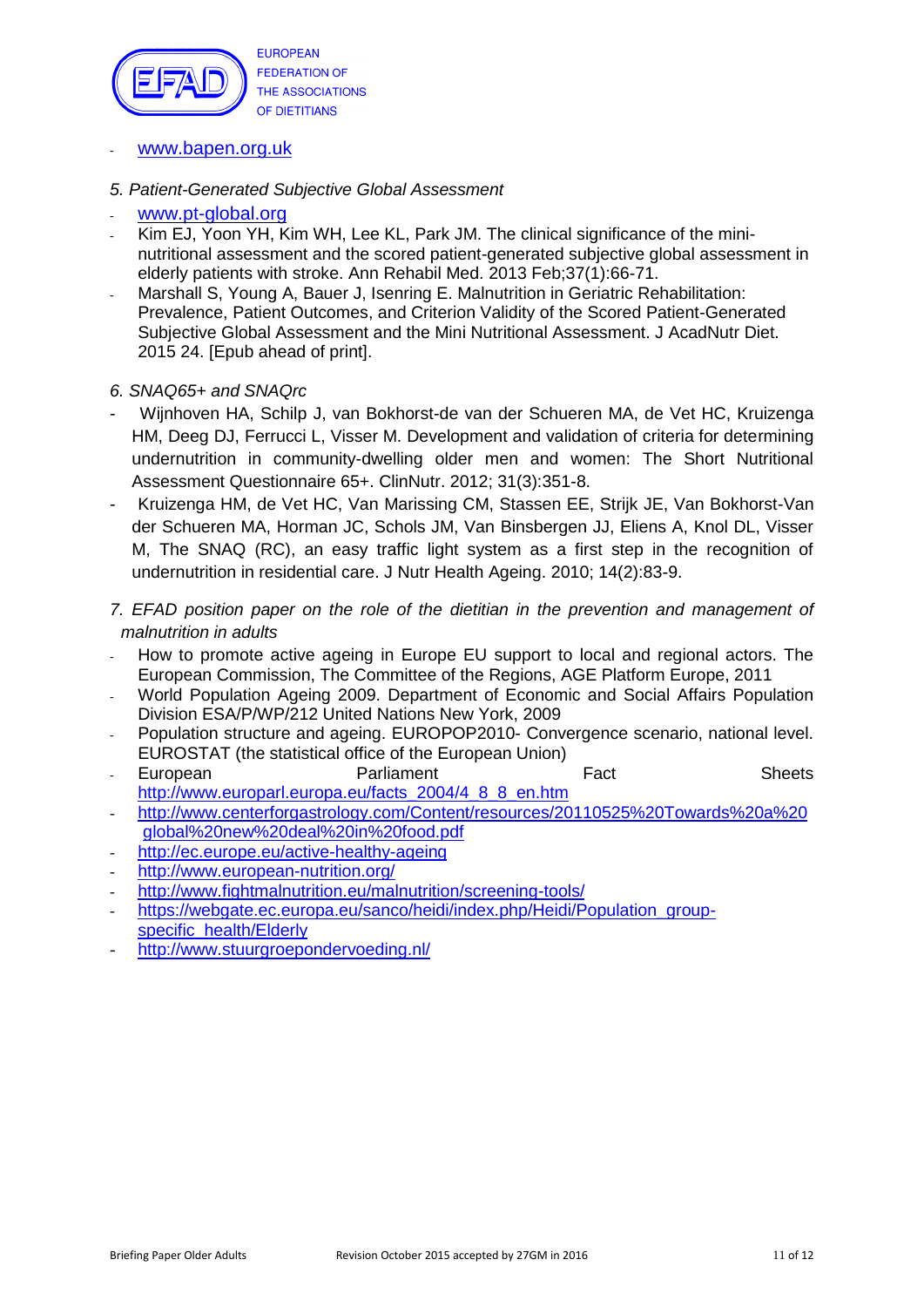

- [www.bapen.org.uk](http://www.bapen.org.uk/)
- *5. Patient-Generated Subjective Global Assessment*
- [www.pt-global.org](http://www.pt-global.org/)
- Kim EJ, Yoon YH, Kim WH, Lee KL, Park JM, The clinical significance of the mininutritional assessment and the scored patient-generated subjective global assessment in elderly patients with stroke. Ann Rehabil Med. 2013 Feb;37(1):66-71.
- Marshall S, Young A, Bauer J, Isenring E. Malnutrition in Geriatric Rehabilitation: Prevalence, Patient Outcomes, and Criterion Validity of the Scored Patient-Generated Subjective Global Assessment and the Mini Nutritional Assessment. J AcadNutr Diet. 2015 24. [Epub ahead of print].

#### *6. SNAQ65+ and SNAQrc*

- Wijnhoven HA, Schilp J, van Bokhorst-de van der Schueren MA, de Vet HC, Kruizenga HM, Deeg DJ, Ferrucci L, Visser M. Development and validation of criteria for determining undernutrition in community-dwelling older men and women: The Short Nutritional Assessment Questionnaire 65+. ClinNutr. 2012; 31(3):351-8.
- Kruizenga HM, de Vet HC, Van Marissing CM, Stassen EE, Strijk JE, Van Bokhorst-Van der Schueren MA, Horman JC, Schols JM, Van Binsbergen JJ, Eliens A, Knol DL, Visser M, The SNAQ (RC), an easy traffic light system as a first step in the recognition of undernutrition in residential care. J Nutr Health Ageing. 2010; 14(2):83-9.
- *7. EFAD position paper on the role of the dietitian in the prevention and management of malnutrition in adults*
- How to promote active ageing in Europe EU support to local and regional actors. The European Commission, The Committee of the Regions, AGE Platform Europe, 2011
- World Population Ageing 2009. Department of Economic and Social Affairs Population Division ESA/P/WP/212 United Nations New York, 2009
- Population structure and ageing. EUROPOP2010- Convergence scenario, national level. EUROSTAT (the statistical office of the European Union)
- European **Parliament** Parliament Fact **Fact** Sheets [http://www.europarl.europa.eu/facts\\_2004/4\\_8\\_8\\_en.htm](http://www.europarl.europa.eu/facts_2004/4_8_8_en.htm)
- [http://www.centerforgastrology.com/Content/resources/20110525%20Towards%20a%20](http://www.centerforgastrology.com/Content/resources/20110525%20Towards%20a%20global%20new%20deal%20in%20food.pdf) [global%20new%20deal%20in%20food.pdf](http://www.centerforgastrology.com/Content/resources/20110525%20Towards%20a%20global%20new%20deal%20in%20food.pdf)
- <http://ec.europe.eu/active-healthy-ageing>
- <http://www.european-nutrition.org/>
- <http://www.fightmalnutrition.eu/malnutrition/screening-tools/>
- [https://webgate.ec.europa.eu/sanco/heidi/index.php/Heidi/Population\\_group](https://webgate.ec.europa.eu/sanco/heidi/index.php/Heidi/Population_group-specific_health/Elderly)[specific\\_health/Elderly](https://webgate.ec.europa.eu/sanco/heidi/index.php/Heidi/Population_group-specific_health/Elderly)
- <http://www.stuurgroepondervoeding.nl/>